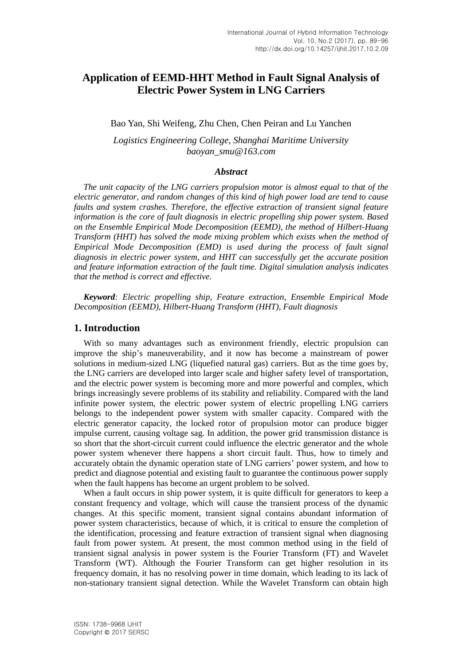# **Application of EEMD-HHT Method in Fault Signal Analysis of Electric Power System in LNG Carriers**

Bao Yan, Shi Weifeng, Zhu Chen, Chen Peiran and Lu Yanchen

*Logistics Engineering College, Shanghai Maritime University baoyan\_smu@163.com*

## *Abstract*

*The unit capacity of the LNG carriers propulsion motor is almost equal to that of the electric generator, and random changes of this kind of high power load are tend to cause faults and system crashes. Therefore, the effective extraction of transient signal feature information is the core of fault diagnosis in electric propelling ship power system. Based on the Ensemble Empirical Mode Decomposition (EEMD), the method of Hilbert-Huang Transform (HHT) has solved the mode mixing problem which exists when the method of Empirical Mode Decomposition (EMD) is used during the process of fault signal diagnosis in electric power system, and HHT can successfully get the accurate position and feature information extraction of the fault time. Digital simulation analysis indicates that the method is correct and effective.*

*Keyword: Electric propelling ship, Feature extraction, Ensemble Empirical Mode Decomposition (EEMD), Hilbert-Huang Transform (HHT), Fault diagnosis*

### **1. Introduction**

With so many advantages such as environment friendly, electric propulsion can improve the ship's maneuverability, and it now has become a mainstream of power solutions in medium-sized LNG (liquefied natural gas) carriers. But as the time goes by, the LNG carriers are developed into larger scale and higher safety level of transportation, and the electric power system is becoming more and more powerful and complex, which brings increasingly severe problems of its stability and reliability. Compared with the land infinite power system, the electric power system of electric propelling LNG carriers belongs to the independent power system with smaller capacity. Compared with the electric generator capacity, the locked rotor of propulsion motor can produce bigger impulse current, causing voltage sag. In addition, the power grid transmission distance is so short that the short-circuit current could influence the electric generator and the whole power system whenever there happens a short circuit fault. Thus, how to timely and accurately obtain the dynamic operation state of LNG carriers' power system, and how to predict and diagnose potential and existing fault to guarantee the continuous power supply when the fault happens has become an urgent problem to be solved.

When a fault occurs in ship power system, it is quite difficult for generators to keep a constant frequency and voltage, which will cause the transient process of the dynamic changes. At this specific moment, transient signal contains abundant information of power system characteristics, because of which, it is critical to ensure the completion of the identification, processing and feature extraction of transient signal when diagnosing fault from power system. At present, the most common method using in the field of transient signal analysis in power system is the Fourier Transform (FT) and Wavelet Transform (WT). Although the Fourier Transform can get higher resolution in its frequency domain, it has no resolving power in time domain, which leading to its lack of non-stationary transient signal detection. While the Wavelet Transform can obtain high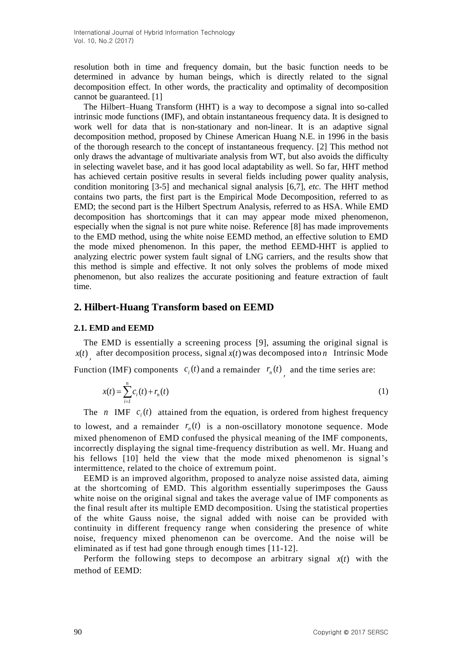resolution both in time and frequency domain, but the basic function needs to be determined in advance by human beings, which is directly related to the signal decomposition effect. In other words, the practicality and optimality of decomposition cannot be guaranteed. [1]

The Hilbert–Huang Transform (HHT) is a way to decompose a signal into so-called intrinsic mode functions (IMF), and obtain instantaneous frequency data. It is designed to work well for data that is non-stationary and non-linear. It is an adaptive signal decomposition method, proposed by Chinese American Huang N.E. in 1996 in the basis of the thorough research to the concept of instantaneous frequency. [2] This method not only draws the advantage of multivariate analysis from WT, but also avoids the difficulty in selecting wavelet base, and it has good local adaptability as well. So far, HHT method has achieved certain positive results in several fields including power quality analysis, condition monitoring [3-5] and mechanical signal analysis [6,7], *etc*. The HHT method contains two parts, the first part is the Empirical Mode Decomposition, referred to as EMD; the second part is the Hilbert Spectrum Analysis, referred to as HSA. While EMD decomposition has shortcomings that it can may appear mode mixed phenomenon, especially when the signal is not pure white noise. Reference [8] has made improvements to the EMD method, using the white noise EEMD method, an effective solution to EMD the mode mixed phenomenon. In this paper, the method EEMD-HHT is applied to analyzing electric power system fault signal of LNG carriers, and the results show that this method is simple and effective. It not only solves the problems of mode mixed phenomenon, but also realizes the accurate positioning and feature extraction of fault time.

## **2. Hilbert-Huang Transform based on EEMD**

## **2.1. EMD and EEMD**

The EMD is essentially a screening process [9], assuming the original signal is  $x(t)$  after decomposition process, signal  $x(t)$  was decomposed into *n* Intrinsic Mode ,

Function (IMF) components  $c_i(t)$  and a remainder  $r_n(t)$  and the time series are:

$$
x(t) = \sum_{i=1}^{n} c_i(t) + r_n(t)
$$
 (1)

,

The *n* IMF  $c_i(t)$  attained from the equation, is ordered from highest frequency

to lowest, and a remainder  $r_n(t)$  is a non-oscillatory monotone sequence. Mode mixed phenomenon of EMD confused the physical meaning of the IMF components, incorrectly displaying the signal time-frequency distribution as well. Mr. Huang and his fellows [10] held the view that the mode mixed phenomenon is signal's intermittence, related to the choice of extremum point.

EEMD is an improved algorithm, proposed to analyze noise assisted data, aiming at the shortcoming of EMD. This algorithm essentially superimposes the Gauss white noise on the original signal and takes the average value of IMF components as the final result after its multiple EMD decomposition. Using the statistical properties of the white Gauss noise, the signal added with noise can be provided with continuity in different frequency range when considering the presence of white noise, frequency mixed phenomenon can be overcome. And the noise will be eliminated as if test had gone through enough times [11-12].

Perform the following steps to decompose an arbitrary signal  $x(t)$  with the method of EEMD: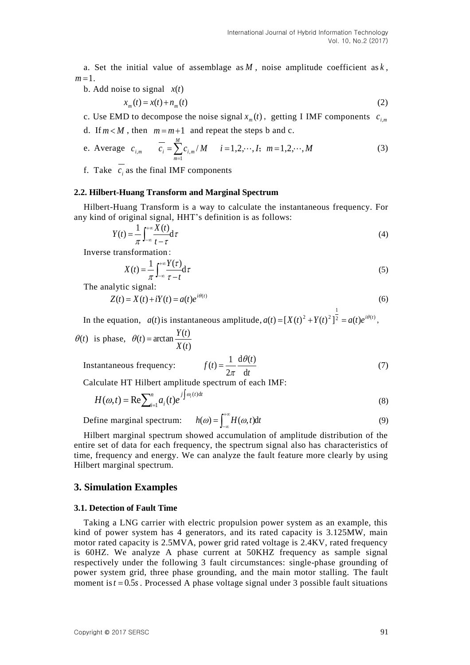a. Set the initial value of assemblage as *M* , noise amplitude coefficient as *k* ,  $m = 1$ .

b. Add noise to signal *x*(*t*)

$$
x_m(t) = x(t) + n_m(t) \tag{2}
$$

c. Use EMD to decompose the noise signal  $x_m(t)$ , getting I IMF components  $c_{i,m}$ 

d. If  $m < M$ , then  $m = m + 1$  and repeat the steps b and c.

e. Average 
$$
c_{i,m}
$$
  $\overline{c_i} = \sum_{m=1}^{M} c_{i,m} / M$   $i = 1, 2, \dots, I; m = 1, 2, \dots, M$  (3)

f. Take  $c_i$  as the final IMF components

#### **2.2. Hilbert-Huang Transform and Marginal Spectrum**

Hilbert-Huang Transform is a way to calculate the instantaneous frequency. For any kind of original signal, HHT's definition is as follows:

$$
Y(t) = \frac{1}{\pi} \int_{-\infty}^{+\infty} \frac{X(t)}{t - \tau} d\tau
$$
 (4)

Inverse transformation:

$$
X(t) = \frac{1}{\pi} \int_{-\infty}^{+\infty} \frac{Y(\tau)}{\tau - t} d\tau
$$
 (5)

The analytic signal:

$$
Z(t) = X(t) + iY(t) = a(t)e^{i\theta(t)}
$$
\n(6)

In the equation,  $a(t)$  is instantaneous amplitude,  $a(t) = [X(t)^{2} + Y(t)^{2}]^{2} = a(t)e^{i\theta(t)}$ 1  $a(t) = [X(t)^{2} + Y(t)^{2}]^{2} = a(t)e^{i\theta(t)},$ 

$$
\theta(t)
$$
 is phase,  $\theta(t) = \arctan \frac{Y(t)}{X(t)}$ 

Instantaneous frequency:

$$
f(t) = \frac{1}{2\pi} \frac{d\theta(t)}{dt}
$$
 (7)

Calculate HT Hilbert amplitude spectrum of each IMF:

$$
H(\omega, t) = \text{Re}\sum_{i=1}^{n} a_i(t) e^{j \int \omega_i(t) dt}
$$
\n(8)

 $Define$  marginal spectrum:  $\int_{-\infty}^{+\infty}$  $(\omega) = \int_{-\infty}^{\infty} H(\omega, t) dt$  (9)

Hilbert marginal spectrum showed accumulation of amplitude distribution of the entire set of data for each frequency, the spectrum signal also has characteristics of time, frequency and energy. We can analyze the fault feature more clearly by using Hilbert marginal spectrum.

## **3. Simulation Examples**

#### **3.1. Detection of Fault Time**

Taking a LNG carrier with electric propulsion power system as an example, this kind of power system has 4 generators, and its rated capacity is 3.125MW, main motor rated capacity is 2.5MVA, power grid rated voltage is 2.4KV, rated frequency is 60HZ. We analyze A phase current at 50KHZ frequency as sample signal respectively under the following 3 fault circumstances: single-phase grounding of power system grid, three phase grounding, and the main motor stalling. The fault moment is  $t = 0.5s$ . Processed A phase voltage signal under 3 possible fault situations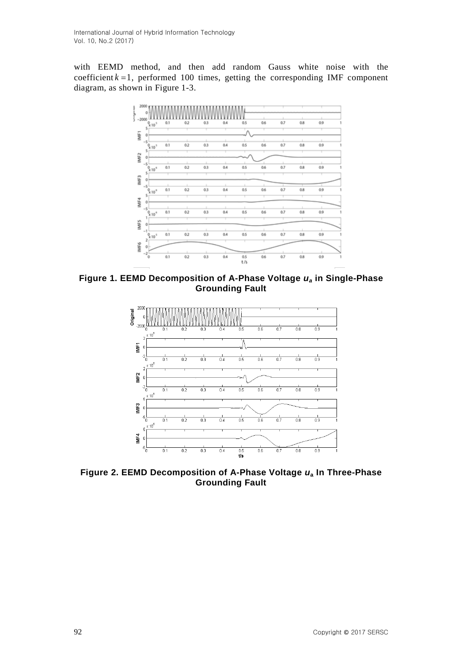with EEMD method, and then add random Gauss white noise with the coefficient  $k = 1$ , performed 100 times, getting the corresponding IMF component diagram, as shown in Figure 1-3.



**Figure 1. EEMD Decomposition of A-Phase Voltage** *u<sup>a</sup>* **in Single-Phase Grounding Fault**



**Figure 2. EEMD Decomposition of A-Phase Voltage** *u***<sup>a</sup> In Three-Phase Grounding Fault**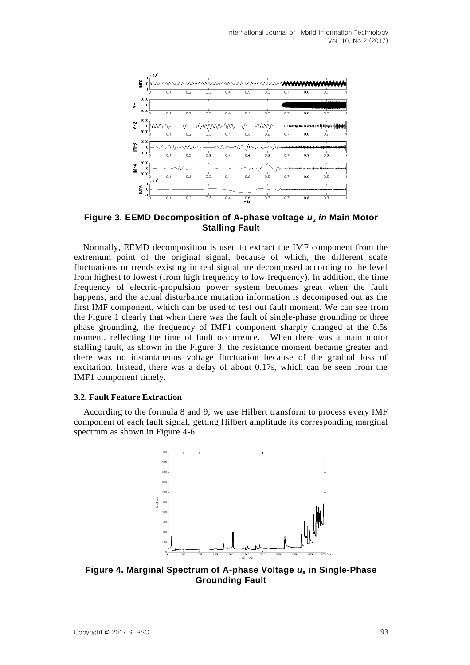

**Figure 3. EEMD Decomposition of A-phase voltage** *u<sup>a</sup> in* **Main Motor Stalling Fault**

Normally, EEMD decomposition is used to extract the IMF component from the extremum point of the original signal, because of which, the different scale fluctuations or trends existing in real signal are decomposed according to the level from highest to lowest (from high frequency to low frequency). In addition, the time frequency of electric-propulsion power system becomes great when the fault happens, and the actual disturbance mutation information is decomposed out as the first IMF component, which can be used to test out fault moment. We can see from the Figure 1 clearly that when there was the fault of single-phase grounding or three phase grounding, the frequency of IMF1 component sharply changed at the 0.5s moment, reflecting the time of fault occurrence. When there was a main motor stalling fault, as shown in the Figure 3, the resistance moment became greater and there was no instantaneous voltage fluctuation because of the gradual loss of excitation. Instead, there was a delay of about 0.17s, which can be seen from the IMF1 component timely.

### **3.2. Fault Feature Extraction**

According to the formula 8 and 9, we use Hilbert transform to process every IMF component of each fault signal, getting Hilbert amplitude its corresponding marginal spectrum as shown in Figure 4-6.



**Figure 4. Marginal Spectrum of A-phase Voltage** *u***<sup>a</sup> in Single-Phase Grounding Fault**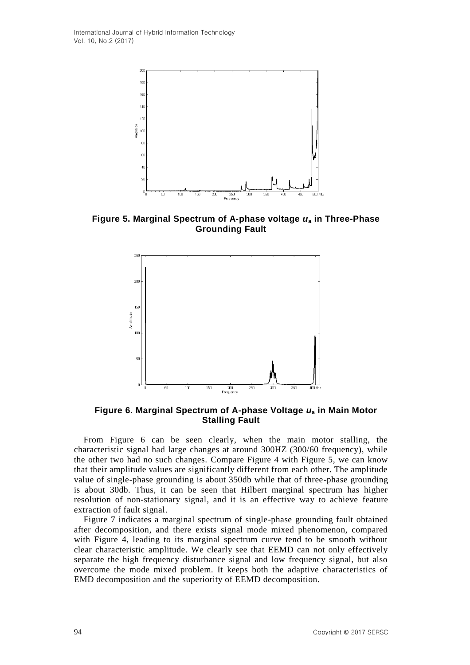International Journal of Hybrid Information Technology Vol. 10, No.2 (2017)



**Figure 5. Marginal Spectrum of A-phase voltage** *u***<sup>a</sup> in Three-Phase Grounding Fault**



**Figure 6. Marginal Spectrum of A-phase Voltage** *u***<sup>a</sup> in Main Motor Stalling Fault**

From Figure 6 can be seen clearly, when the main motor stalling, the characteristic signal had large changes at around 300HZ (300/60 frequency), while the other two had no such changes. Compare Figure 4 with Figure 5, we can know that their amplitude values are significantly different from each other. The amplitude value of single-phase grounding is about 350db while that of three-phase grounding is about 30db. Thus, it can be seen that Hilbert marginal spectrum has higher resolution of non-stationary signal, and it is an effective way to achieve feature extraction of fault signal.

Figure 7 indicates a marginal spectrum of single-phase grounding fault obtained after decomposition, and there exists signal mode mixed phenomenon, compared with Figure 4, leading to its marginal spectrum curve tend to be smooth without clear characteristic amplitude. We clearly see that EEMD can not only effectively separate the high frequency disturbance signal and low frequency signal, but also overcome the mode mixed problem. It keeps both the adaptive characteristics of EMD decomposition and the superiority of EEMD decomposition.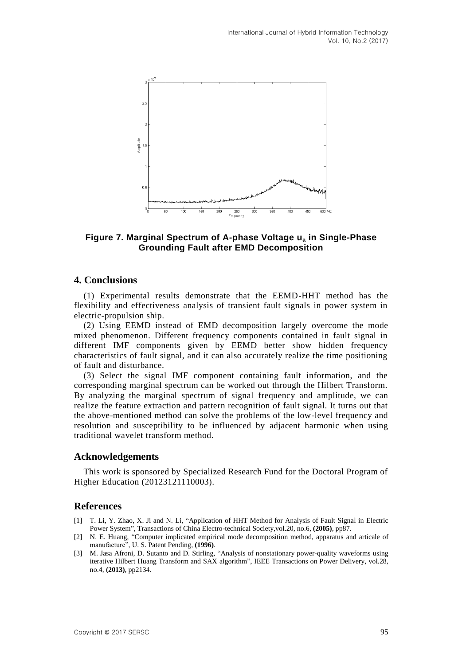

## **Figure 7. Marginal Spectrum of A-phase Voltage u<sup>a</sup> in Single-Phase Grounding Fault after EMD Decomposition**

## **4. Conclusions**

(1) Experimental results demonstrate that the EEMD-HHT method has the flexibility and effectiveness analysis of transient fault signals in power system in electric-propulsion ship.

(2) Using EEMD instead of EMD decomposition largely overcome the mode mixed phenomenon. Different frequency components contained in fault signal in different IMF components given by EEMD better show hidden frequency characteristics of fault signal, and it can also accurately realize the time positioning of fault and disturbance.

(3) Select the signal IMF component containing fault information, and the corresponding marginal spectrum can be worked out through the Hilbert Transform. By analyzing the marginal spectrum of signal frequency and amplitude, we can realize the feature extraction and pattern recognition of fault signal. It turns out that the above-mentioned method can solve the problems of the low-level frequency and resolution and susceptibility to be influenced by adjacent harmonic when using traditional wavelet transform method.

## **Acknowledgements**

This work is sponsored by Specialized Research Fund for the Doctoral Program of Higher Education (20123121110003).

## **References**

- [1] T. Li, Y. Zhao, X. Ji and N. Li, "Application of HHT Method for Analysis of Fault Signal in Electric Power System", Transactions of China Electro-technical Society,vol.20, no.6, **(2005)**, pp87.
- [2] N. E. Huang, "Computer implicated empirical mode decomposition method, apparatus and articale of manufacture", U. S. Patent Pending, **(1996)**.
- [3] M. Jasa Afroni, D. Sutanto and D. Stirling, "Analysis of nonstationary power-quality waveforms using iterative Hilbert Huang Transform and SAX algorithm", IEEE Transactions on Power Delivery, vol.28, no.4, **(2013)**, pp2134.